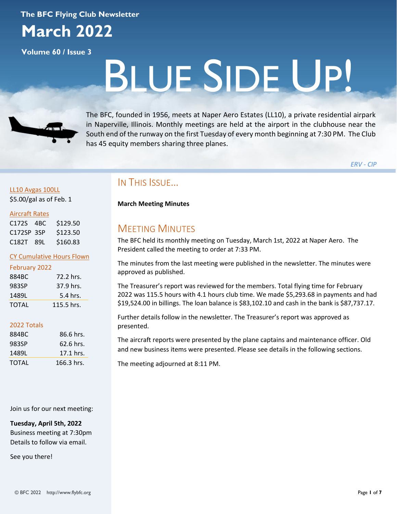#### **The BFC Flying Club Newsletter**



**Volume 60 / Issue 3**

# BLUE SIDE UP!



The BFC, founded in 1956, meets at Naper Aero Estates (LL10), a private residential airpark in Naperville, Illinois. Monthly meetings are held at the airport in the clubhouse near the South end of the runway on the first Tuesday of every month beginning at 7:30 PM. The Club has 45 equity members sharing three planes.

*ERV - CIP*

#### LL10 Avgas 100LL \$5.00/gal as of Feb. 1

#### Aircraft Rates

| C172S 4BC  | \$129.50 |
|------------|----------|
| C172SP 3SP | \$123.50 |
| C182T 89L  | \$160.83 |

#### CY Cumulative Hours Flown

|  |  | February 2022 |
|--|--|---------------|
|  |  |               |

| 884BC | 72.2 hrs.  |
|-------|------------|
| 983SP | 37.9 hrs.  |
| 1489L | 5.4 hrs.   |
| TOTAL | 115.5 hrs. |

#### 2022 Totals

| 884BC | 86.6 hrs.  |
|-------|------------|
| 983SP | 62.6 hrs.  |
| 1489L | 17.1 hrs.  |
| TOTAL | 166.3 hrs. |

Join us for our next meeting:

**Tuesday, April 5th, 2022** Business meeting at 7:30pm Details to follow via email.

See you there!

## IN THIS ISSUE…

**March Meeting Minutes**

## MEETING MINUTES

The BFC held its monthly meeting on Tuesday, March 1st, 2022 at Naper Aero. The President called the meeting to order at 7:33 PM.

The minutes from the last meeting were published in the newsletter. The minutes were approved as published.

The Treasurer's report was reviewed for the members. Total flying time for February 2022 was 115.5 hours with 4.1 hours club time. We made \$5,293.68 in payments and had \$19,524.00 in billings. The loan balance is \$83,102.10 and cash in the bank is \$87,737.17.

Further details follow in the newsletter. The Treasurer's report was approved as presented.

The aircraft reports were presented by the plane captains and maintenance officer. Old and new business items were presented. Please see details in the following sections.

The meeting adjourned at 8:11 PM.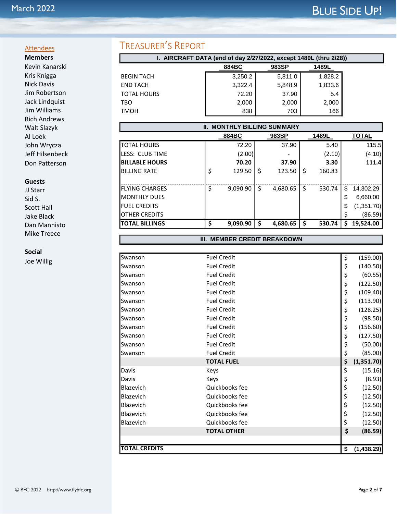#### **Attendees Members**

Kevin Kanarski Kris Knigga Nick Davis Jim Robertson Jack Lindquist Jim Williams Rich Andrews Walt Slazyk Al Loek John Wrycza Jeff Hilsenbeck Don Patterson

#### **Guests**

JJ Starr Sid S. Scott Hall Jake Black Dan Mannisto Mike Treece

#### **Social**

Joe Willig

## TREASURER'S REPORT

| I. AIRCRAFT DATA (end of day 2/27/2022, except 1489L (thru 2/28)) |         |         |         |  |  |  |  |  |
|-------------------------------------------------------------------|---------|---------|---------|--|--|--|--|--|
|                                                                   | 884BC   | 983SP   | 1489L   |  |  |  |  |  |
| <b>BEGIN TACH</b>                                                 | 3,250.2 | 5,811.0 | 1,828.2 |  |  |  |  |  |
| <b>END TACH</b>                                                   | 3,322.4 | 5,848.9 | 1,833.6 |  |  |  |  |  |
| <b>TOTAL HOURS</b>                                                | 72.20   | 37.90   | 5.4     |  |  |  |  |  |
| TBO                                                               | 2,000   | 2,000   | 2,000   |  |  |  |  |  |
| <b>TMOH</b>                                                       | 838     | 703     | 166     |  |  |  |  |  |

| <b>II. MONTHLY BILLING SUMMARY</b> |    |          |     |          |    |        |    |              |
|------------------------------------|----|----------|-----|----------|----|--------|----|--------------|
|                                    |    | 884BC    |     | 983SP    |    | 1489L  |    | <b>TOTAL</b> |
| <b>TOTAL HOURS</b>                 |    | 72.20    |     | 37.90    |    | 5.40   |    | 115.5        |
| <b>I</b> LESS: CLUB TIME           |    | (2.00)   |     |          |    | (2.10) |    | (4.10)       |
| <b>BILLABLE HOURS</b>              |    | 70.20    |     | 37.90    |    | 3.30   |    | 111.4        |
| <b>BILLING RATE</b>                | \$ | 129.50   | \$, | 123.50   | \$ | 160.83 |    |              |
|                                    |    |          |     |          |    |        |    |              |
| <b>IFLYING CHARGES</b>             | \$ | 9.090.90 | \$  | 4,680.65 | \$ | 530.74 | \$ | 14,302.29    |
| <b>IMONTHLY DUES</b>               |    |          |     |          |    |        | \$ | 6,660.00     |
| <b>FUEL CREDITS</b>                |    |          |     |          |    |        | \$ | (1,351.70)   |
| <b>IOTHER CREDITS</b>              |    |          |     |          |    |        |    | (86.59)      |
| <b>ITOTAL BILLINGS</b>             | Ŝ. | 9,090.90 | S   | 4,680.65 | \$ | 530.74 | S  | 19,524.00    |

#### **III. MEMBER CREDIT BREAKDOWN**

| Swanson              | <b>Fuel Credit</b> | \$<br>(159.00)    |
|----------------------|--------------------|-------------------|
|                      |                    |                   |
| Swanson              | <b>Fuel Credit</b> | \$<br>(140.50)    |
| Swanson              | <b>Fuel Credit</b> | \$<br>(60.55)     |
| <b>I</b> Swanson     | <b>Fuel Credit</b> | \$<br>(122.50)    |
| Swanson              | <b>Fuel Credit</b> | \$<br>(109.40)    |
| Swanson              | <b>Fuel Credit</b> | \$<br>(113.90)    |
| Swanson              | <b>Fuel Credit</b> | \$<br>(128.25)    |
| Swanson              | <b>Fuel Credit</b> | \$<br>(98.50)     |
| <b>Swanson</b>       | <b>Fuel Credit</b> | \$<br>(156.60)    |
| Swanson              | <b>Fuel Credit</b> | \$<br>(127.50)    |
| Swanson              | <b>Fuel Credit</b> | \$<br>(50.00)     |
| Swanson              | <b>Fuel Credit</b> | \$<br>(85.00)     |
|                      | <b>TOTAL FUEL</b>  | \$<br>(1, 351.70) |
| Davis                | Keys               | \$<br>(15.16)     |
| Davis                | Keys               | \$<br>(8.93)      |
| Blazevich            | Quickbooks fee     | \$<br>(12.50)     |
| Blazevich            | Quickbooks fee     | \$<br>(12.50)     |
| Blazevich            | Quickbooks fee     | \$<br>(12.50)     |
| Blazevich            | Quickbooks fee     | \$<br>(12.50)     |
| <b>Blazevich</b>     | Quickbooks fee     | \$<br>(12.50)     |
|                      | <b>TOTAL OTHER</b> | \$<br>(86.59)     |
|                      |                    |                   |
| <b>TOTAL CREDITS</b> |                    | \$<br>(1,438.29)  |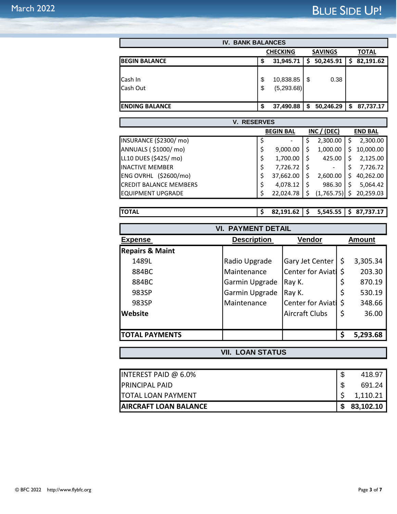| <b>IV. BANK BALANCES</b>                          |    |            |    |           |    |           |  |
|---------------------------------------------------|----|------------|----|-----------|----|-----------|--|
| <b>SAVINGS</b><br><b>TOTAL</b><br><b>CHECKING</b> |    |            |    |           |    |           |  |
| <b>IBEGIN BALANCE</b>                             | S  | 31,945.71  | S  | 50,245.91 | S  | 82,191.62 |  |
|                                                   |    |            |    |           |    |           |  |
| Cash In                                           | \$ | 10,838.85  | S  | 0.38      |    |           |  |
| Cash Out                                          | \$ | (5,293.68) |    |           |    |           |  |
|                                                   |    |            |    |           |    |           |  |
| <b>IENDING BALANCE</b>                            | S  | 37,490.88  | \$ | 50,246.29 | \$ | 87,737.17 |  |

| <b>V. RESERVES</b>            |    |                              |   |             |    |                |
|-------------------------------|----|------------------------------|---|-------------|----|----------------|
|                               |    | <b>BEGIN BAL</b>             |   | INC / (DEC) |    | <b>END BAL</b> |
| INSURANCE (\$2300/mo)         |    | $\qquad \qquad \blacksquare$ | Ş | 2,300.00    | Ś  | 2,300.00       |
| ANNUALS (\$1000/mo)           | \$ | 9,000.00                     |   | 1,000.00    | Ś  | 10,000.00      |
| LL10 DUES (\$425/ mo)         | \$ | 1,700.00                     | S | 425.00      |    | 2,125.00       |
| lINACTIVE MEMBER              | \$ | 7,726.72                     |   | -           | \$ | 7,726.72       |
| ENG OVRHL (\$2600/mo)         | \$ | 37,662.00                    |   | 2,600.00    | Ś  | 40,262.00      |
| <b>CREDIT BALANCE MEMBERS</b> |    | 4,078.12                     |   | 986.30      | Ś  | 5,064.42       |
| IEQUIPMENT UPGRADE            |    | 22,024.78                    |   | (1,765.75)  | Ś  | 20,259.03      |

**TOTAL \$ 82,191.62 \$ 5,545.55 \$ 87,737.17**

| <b>VI. PAYMENT DETAIL</b>  |                    |                          |    |               |  |  |  |
|----------------------------|--------------------|--------------------------|----|---------------|--|--|--|
| <b>Expense</b>             | <b>Description</b> | Vendor                   |    | <b>Amount</b> |  |  |  |
| <b>Repairs &amp; Maint</b> |                    |                          |    |               |  |  |  |
| 1489L                      | Radio Upgrade      | Gary Jet Center          | \$ | 3,305.34      |  |  |  |
| 884BC                      | Maintenance        | <b>Center for Aviati</b> | \$ | 203.30        |  |  |  |
| 884BC                      | Garmin Upgrade     | Ray K.                   | \$ | 870.19        |  |  |  |
| 983SP                      | Garmin Upgrade     | Ray K.                   | \$ | 530.19        |  |  |  |
| 983SP                      | Maintenance        | <b>Center for Aviati</b> | \$ | 348.66        |  |  |  |
| Website                    |                    | <b>Aircraft Clubs</b>    | \$ | 36.00         |  |  |  |
|                            |                    |                          |    |               |  |  |  |
| <b>TOTAL PAYMENTS</b>      |                    |                          | \$ | 5,293.68      |  |  |  |

**VII. LOAN STATUS**

| <b>IPRINCIPAL PAID</b><br><b>ITOTAL LOAN PAYMENT</b> | 691.24<br>1,110.21 |
|------------------------------------------------------|--------------------|
| <b>AIRCRAFT LOAN BALANCE</b>                         | 83,102.10          |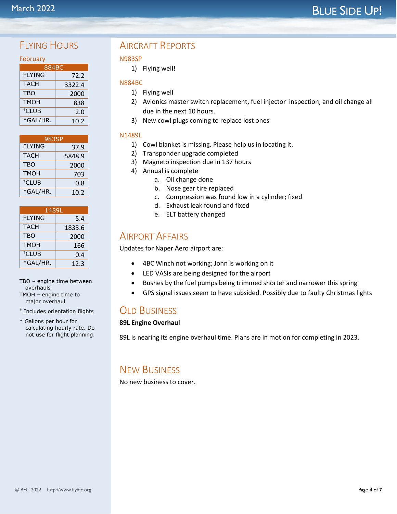# **BLUE SIDE UP!**

## FIYING HOURS

| February          |        |  |  |  |  |  |
|-------------------|--------|--|--|--|--|--|
| 884BC             |        |  |  |  |  |  |
| <b>FLYING</b>     | 72.2   |  |  |  |  |  |
| <b>TACH</b>       | 3322.4 |  |  |  |  |  |
| <b>TBO</b>        | 2000   |  |  |  |  |  |
| <b>TMOH</b>       | 838    |  |  |  |  |  |
| <sup>†</sup> CLUB | 2.0    |  |  |  |  |  |
| *GAL/HR.          | 10.2   |  |  |  |  |  |

| 983SP             |        |  |
|-------------------|--------|--|
| <b>FLYING</b>     | 37.9   |  |
| <b>TACH</b>       | 5848.9 |  |
| <b>TBO</b>        | 2000   |  |
| <b>TMOH</b>       | 703    |  |
| <sup>†</sup> CLUB | 0.8    |  |
| *GAL/HR.          | 10.2   |  |

| 1489L             |        |  |
|-------------------|--------|--|
| <b>FLYING</b>     | 5.4    |  |
| <b>TACH</b>       | 1833.6 |  |
| <b>TBO</b>        | 2000   |  |
| <b>TMOH</b>       | 166    |  |
| <sup>†</sup> CLUB | 0.4    |  |
| *GAL/HR.          | 12.3   |  |

#### TBO – engine time between overhauls TMOH – engine time to major overhaul

- † Includes orientation flights
- \* Gallons per hour for calculating hourly rate. Do not use for flight planning.

## AIRCRAFT REPORTS

#### N983SP

1) Flying well!

#### N884BC

- 1) Flying well
- 2) Avionics master switch replacement, fuel injector inspection, and oil change all due in the next 10 hours.
- 3) New cowl plugs coming to replace lost ones

#### N1489L

- 1) Cowl blanket is missing. Please help us in locating it.
- 2) Transponder upgrade completed
- 3) Magneto inspection due in 137 hours
- 4) Annual is complete
	- a. Oil change done
	- b. Nose gear tire replaced
	- c. Compression was found low in a cylinder; fixed
	- d. Exhaust leak found and fixed
	- e. ELT battery changed

## AIRPORT AFFAIRS

Updates for Naper Aero airport are:

- 4BC Winch not working; John is working on it
- LED VASIs are being designed for the airport
- Bushes by the fuel pumps being trimmed shorter and narrower this spring
- GPS signal issues seem to have subsided. Possibly due to faulty Christmas lights

## **OLD BUSINESS**

#### **89L Engine Overhaul**

89L is nearing its engine overhaul time. Plans are in motion for completing in 2023.

## NEW BUSINESS

No new business to cover.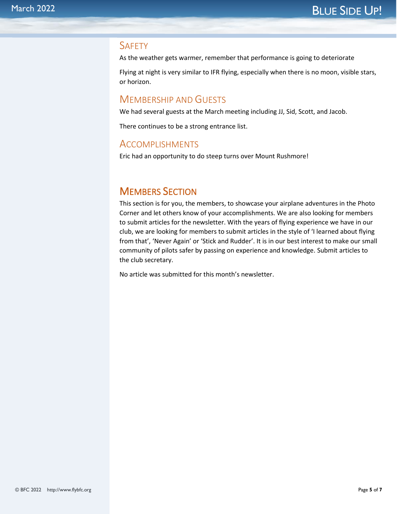#### **SAFETY**

As the weather gets warmer, remember that performance is going to deteriorate

Flying at night is very similar to IFR flying, especially when there is no moon, visible stars, or horizon.

### MEMBERSHIP AND GUESTS

We had several guests at the March meeting including JJ, Sid, Scott, and Jacob.

There continues to be a strong entrance list.

#### ACCOMPLISHMENTS

Eric had an opportunity to do steep turns over Mount Rushmore!

## MEMBERS SECTION

This section is for you, the members, to showcase your airplane adventures in the Photo Corner and let others know of your accomplishments. We are also looking for members to submit articles for the newsletter. With the years of flying experience we have in our club, we are looking for members to submit articles in the style of 'I learned about flying from that', 'Never Again' or 'Stick and Rudder'. It is in our best interest to make our small community of pilots safer by passing on experience and knowledge. Submit articles to the club secretary.

No article was submitted for this month's newsletter.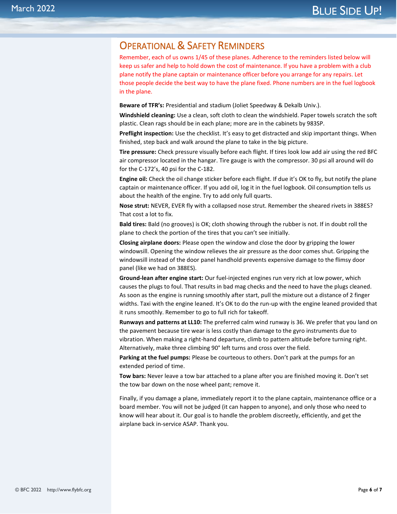## OPERATIONAL & SAFETY REMINDERS

Remember, each of us owns 1/45 of these planes. Adherence to the reminders listed below will keep us safer and help to hold down the cost of maintenance. If you have a problem with a club plane notify the plane captain or maintenance officer before you arrange for any repairs. Let those people decide the best way to have the plane fixed. Phone numbers are in the fuel logbook in the plane.

**Beware of TFR's:** Presidential and stadium (Joliet Speedway & Dekalb Univ.).

**Windshield cleaning:** Use a clean, soft cloth to clean the windshield. Paper towels scratch the soft plastic. Clean rags should be in each plane; more are in the cabinets by 983SP.

**Preflight inspection:** Use the checklist. It's easy to get distracted and skip important things. When finished, step back and walk around the plane to take in the big picture.

**Tire pressure:** Check pressure visually before each flight. If tires look low add air using the red BFC air compressor located in the hangar. Tire gauge is with the compressor. 30 psi all around will do for the C-172's, 40 psi for the C-182.

**Engine oil:** Check the oil change sticker before each flight. If due it's OK to fly, but notify the plane captain or maintenance officer. If you add oil, log it in the fuel logbook. Oil consumption tells us about the health of the engine. Try to add only full quarts.

**Nose strut:** NEVER, EVER fly with a collapsed nose strut. Remember the sheared rivets in 388ES? That cost a lot to fix.

**Bald tires:** Bald (no grooves) is OK; cloth showing through the rubber is not. If in doubt roll the plane to check the portion of the tires that you can't see initially.

**Closing airplane doors:** Please open the window and close the door by gripping the lower windowsill. Opening the window relieves the air pressure as the door comes shut. Gripping the windowsill instead of the door panel handhold prevents expensive damage to the flimsy door panel (like we had on 388ES).

**Ground-lean after engine start:** Our fuel-injected engines run very rich at low power, which causes the plugs to foul. That results in bad mag checks and the need to have the plugs cleaned. As soon as the engine is running smoothly after start, pull the mixture out a distance of 2 finger widths. Taxi with the engine leaned. It's OK to do the run-up with the engine leaned provided that it runs smoothly. Remember to go to full rich for takeoff.

**Runways and patterns at LL10:** The preferred calm wind runway is 36. We prefer that you land on the pavement because tire wear is less costly than damage to the gyro instruments due to vibration. When making a right-hand departure, climb to pattern altitude before turning right. Alternatively, make three climbing 90° left turns and cross over the field.

**Parking at the fuel pumps:** Please be courteous to others. Don't park at the pumps for an extended period of time.

**Tow bars:** Never leave a tow bar attached to a plane after you are finished moving it. Don't set the tow bar down on the nose wheel pant; remove it.

Finally, if you damage a plane, immediately report it to the plane captain, maintenance office or a board member. You will not be judged (it can happen to anyone), and only those who need to know will hear about it. Our goal is to handle the problem discreetly, efficiently, and get the airplane back in-service ASAP. Thank you.